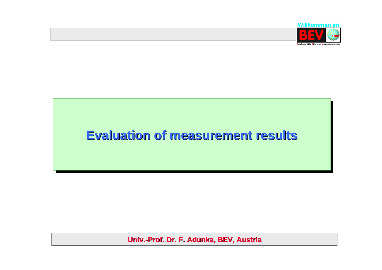

# **Evaluation of Evaluation of Evaluation of measurement results measurement measurement results results**

**Univ.-Prof. Dr. F. Adunka, BEV, Austria**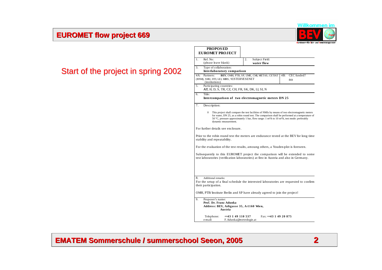#### **EUROMET EUROMET flow project project 669**



# Start of the project in spring 2002

| $\mathbf{1}$ . | Ref. No:<br>(please leave blank)                                                                  | Subject Field:<br>2.<br>water flow                                                                                                                                                                                                                                                                  |  |
|----------------|---------------------------------------------------------------------------------------------------|-----------------------------------------------------------------------------------------------------------------------------------------------------------------------------------------------------------------------------------------------------------------------------------------------------|--|
| 3.             | Type of collaboration:<br>Interlaboratory comparison                                              |                                                                                                                                                                                                                                                                                                     |  |
| 4A:            | Partners:<br>(BNM), SMU, DTI, LEI, MIRS, YUSTERVESENET<br>(institutions)                          | CEC funded?<br>4B:<br>BEV, OMH, PTB, SP, UME, CMI, METAS, CETIAT<br>no                                                                                                                                                                                                                              |  |
| 5.             | Participating countries:<br>AT, H, D, S, TR, CZ, CH, FR, SK, DK, LI, SI, N                        |                                                                                                                                                                                                                                                                                                     |  |
| 6.             | Title:                                                                                            | Intercomparison of two electromagnetic meters DN 25                                                                                                                                                                                                                                                 |  |
| 7.             | Description:                                                                                      |                                                                                                                                                                                                                                                                                                     |  |
|                | $\overline{0}$<br>dynamic measurement.                                                            | This project shall compare the test facilities of NMIs by means of two electromagnetic meters<br>for water, DN 25, as a robin round test. The comparison shall be performed at a temperature of<br>50 °C, pressure approximately 1 bar, flow range: 1 $m^3/h$ to 10 $m^3/h$ , test mode: preferably |  |
|                | For further details see enclosure.                                                                |                                                                                                                                                                                                                                                                                                     |  |
|                | stability and repeatability.                                                                      | Prior to the robin round test the meters are endurance tested at the BEV for long time                                                                                                                                                                                                              |  |
|                |                                                                                                   | For the evaluation of the test results, amoung others, a Youden-plot is foreseen.                                                                                                                                                                                                                   |  |
|                |                                                                                                   | Subsequently to this EUROMET project the comparison will be extended to some<br>test laboratories (verification laboratories) at first in Austria and also in Germany.                                                                                                                              |  |
|                |                                                                                                   |                                                                                                                                                                                                                                                                                                     |  |
| 8.             | Additional remarks:<br>their participation.                                                       | For the setup of a final schedule the interested laboratories are requested to confirm                                                                                                                                                                                                              |  |
|                |                                                                                                   | OMH, PTB/Institute Berlin and SP have already agreed to join the project!                                                                                                                                                                                                                           |  |
| 9.             | Proposer's name:<br>Prof. Dr. Franz Adunka<br>Address: BEV, Arltgasse 35, A-1160 Wien,<br>Austria |                                                                                                                                                                                                                                                                                                     |  |
|                |                                                                                                   |                                                                                                                                                                                                                                                                                                     |  |

**PROPOS ED** 

 $\Gamma$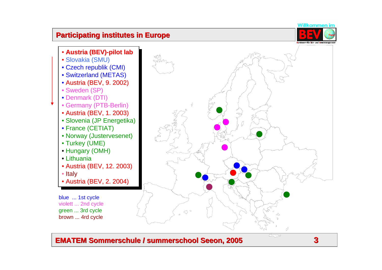#### **EMATEM Sommerschule / EMATEM Sommerschule / summerschool summerschool Seeon, 2005 , 2005**



 $\overline{\mathbb{R}^2}$ 

**3**

![](_page_2_Figure_2.jpeg)

#### **Participating institutes in Europe**

![](_page_2_Picture_4.jpeg)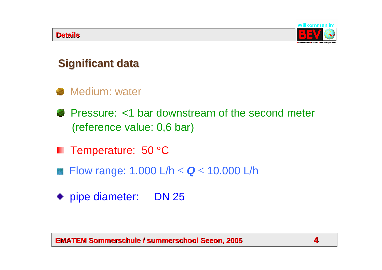![](_page_3_Picture_1.jpeg)

# **Significant data Significant data**

# **Medium: water**

- Pressure: <1 bar downstream of the second meter (reference value: 0,6 bar)
- Temperature: 50 °C ш
- Flow range: 1.000 L/h <sup>≤</sup> *Q* <sup>≤</sup> 10.000 L/h
- pipe diameter: DN 25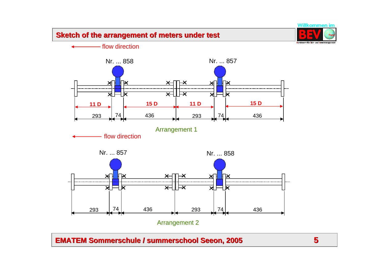#### **Sketch of Sketch of the arrangement the arrangement of meters under meters under test**

![](_page_4_Picture_1.jpeg)

flow direction

![](_page_4_Figure_3.jpeg)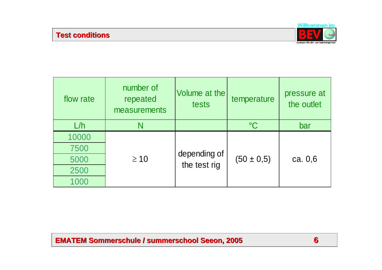![](_page_5_Picture_1.jpeg)

| flow rate | number of<br>repeated<br>measurements | Volume at the<br>tests | temperature     | pressure at<br>the outlet |  |
|-----------|---------------------------------------|------------------------|-----------------|---------------------------|--|
| L/h       | N                                     |                        | $\rm ^{\circ}C$ | bar                       |  |
| 10000     |                                       |                        |                 |                           |  |
| 7500      |                                       | depending of           |                 | ca. $0,6$                 |  |
| 5000      | $\geq 10$                             | the test rig           | $(50 \pm 0.5)$  |                           |  |
| 2500      |                                       |                        |                 |                           |  |
| 1000      |                                       |                        |                 |                           |  |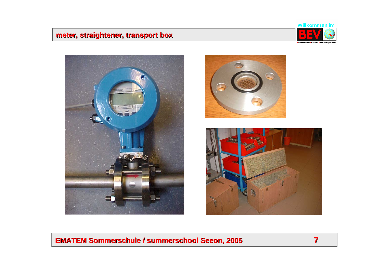# **meter, straightener, transport box straightener, transport box**

![](_page_6_Picture_1.jpeg)

![](_page_6_Picture_2.jpeg)

![](_page_6_Picture_3.jpeg)

![](_page_6_Picture_4.jpeg)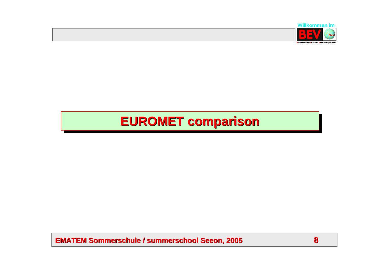![](_page_7_Picture_0.jpeg)

# **EUROMET comparison EUROMET comparison EUROMET comparison**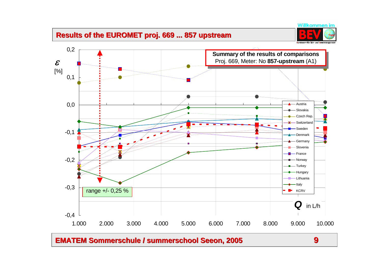### **Results Results of the EUROMET proj. 669 of the EUROMET proj. 669 ... 857 ... 857 upstream**

![](_page_8_Picture_1.jpeg)

![](_page_8_Figure_2.jpeg)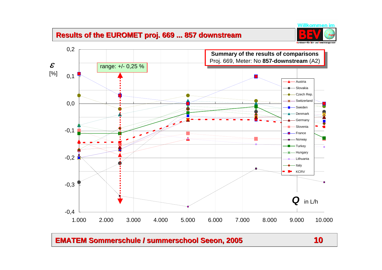# **Results of the EUROMET proj. 669 ... 857 downstream**

![](_page_9_Picture_1.jpeg)

![](_page_9_Figure_2.jpeg)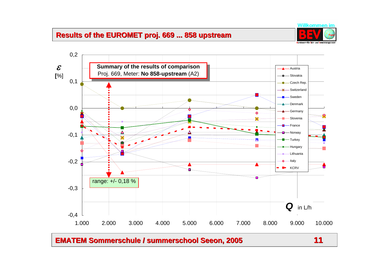# **Results of the EUROMET proj. 669 ... 858 upstream**

![](_page_10_Picture_1.jpeg)

![](_page_10_Figure_3.jpeg)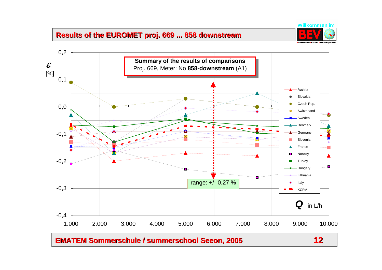# **Results of the EUROMET proj. 669 ... 858 downstream**

![](_page_11_Picture_1.jpeg)

![](_page_11_Figure_3.jpeg)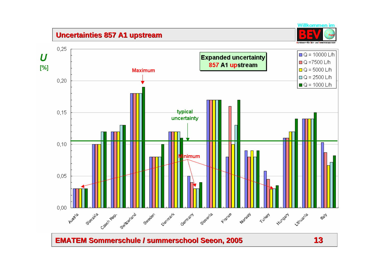## **Uncertainties 857 A1 upstream**

![](_page_12_Picture_1.jpeg)

![](_page_12_Figure_2.jpeg)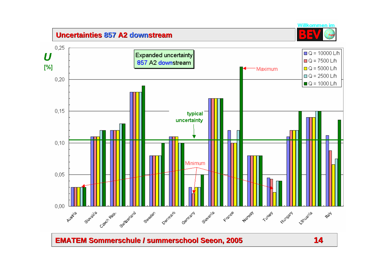## **Uncertainties 857 A2 downstream**

![](_page_13_Figure_1.jpeg)

![](_page_13_Figure_2.jpeg)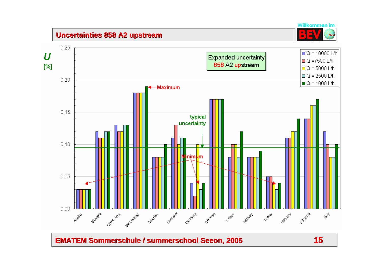# **Uncertainties 858 A2 upstream**

![](_page_14_Picture_1.jpeg)

![](_page_14_Figure_2.jpeg)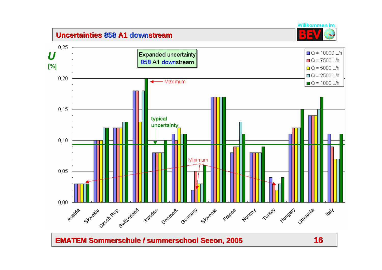## **Uncertainties 858 A1 downstream**

![](_page_15_Picture_1.jpeg)

![](_page_15_Figure_2.jpeg)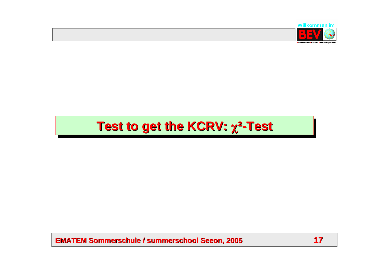![](_page_16_Picture_0.jpeg)

# **Test to get the KCRV:**  $χ²$ **-Test**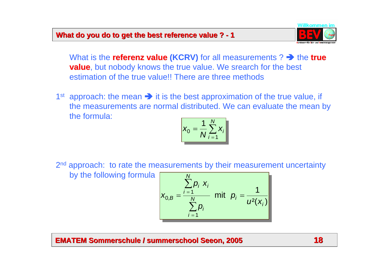## **What do you do to get the best reference value ? - 1**

![](_page_17_Picture_1.jpeg)

What is the **referenz value (KCRV)** for all measurements ?  $\rightarrow$  the **true value**, but nobody knows the true value. We srearch for the best estimation of the true value!! There are three methods

1<sup>st</sup> approach: the mean  $\rightarrow$  it is the best approximation of the true value, if the measurements are normal distributed. We can evaluate the mean by the formula:

$$
\mathbf{x}_0 = \frac{1}{N} \sum_{i=1}^N \mathbf{x}_i
$$

2<sup>nd</sup> approach: to rate the measurements by their measurement uncertainty by the following formula

 $^{2\left( \right.}X_{j}\left. \right)$ 1mit  $p_i =$  — 1 $I_{0,B}^{'} = \frac{i=1}{l}$ *i* $N$  *iiii*  $\mu_i$ *iip* ∑ *Ni* ∑*p*<sub>i</sub> *x*<sub>i</sub> *B* $x_{0,B} = \frac{1}{N}$  mit  $p_i = \frac{1}{U^2(X)}$ =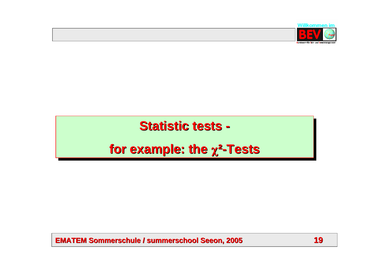![](_page_18_Picture_0.jpeg)

# **Statistic tests -**

# **for example: the** χ**²-Tests for example: the for example: the** χ**²-Tests**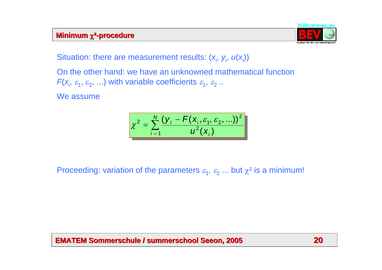#### **Minimum** *χ***<sup>2</sup>-procedure**

![](_page_19_Picture_1.jpeg)

Situation: there are measurement results:  $(x_i, y_i, u(x_i))$ 

On the other hand: we have an unknowned mathematical function  $\mathsf{F}(\mathsf{x}_{\mathsf{i}},\,\varepsilon_{\mathsf{1}},\,\varepsilon_{\mathsf{2}},\, ...)$  with variable coefficients  $\varepsilon_{\mathsf{i}},\,\varepsilon_{\mathsf{2}}$  ..

We assume

$$
\chi^{2} = \sum_{i=1}^{N} \frac{(y_{i} - F(x_{i}, \varepsilon_{1}, \varepsilon_{2}, ...))^{2}}{u^{2}(x_{i})}
$$

# Proceeding: variation of the parameters  $\varepsilon_{\scriptscriptstyle\!1},\,\varepsilon_{\scriptscriptstyle\!2}$  ... but  $\chi^{\mathsf{2}}$  is a minimum!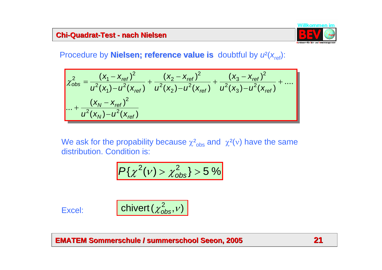#### **Chi-Quadrat Quadrat-Test - nach Nielsen nach Nielsen**

![](_page_20_Picture_1.jpeg)

# Procedure by **Nielsen; reference value is** doubtful by  $u^2(x_{ref})$ :

$$
\chi_{obs}^{2} = \frac{(x_{1} - x_{ref})^{2}}{u^{2}(x_{1}) - u^{2}(x_{ref})} + \frac{(x_{2} - x_{ref})^{2}}{u^{2}(x_{2}) - u^{2}(x_{ref})} + \frac{(x_{3} - x_{ref})^{2}}{u^{2}(x_{3}) - u^{2}(x_{ref})} + \dots
$$
  
... + 
$$
\frac{(x_{N} - x_{ref})^{2}}{u^{2}(x_{N}) - u^{2}(x_{ref})}
$$

We ask for the propability because  $\chi^2_\mathrm{obs}$  and  $\,\chi^2(\mathrm{v})$  have the same distribution. Condition is:

$$
P\{\chi^2(\nu) > \chi^2_{obs}\} > 5\,\%
$$

Excel:

$$
\textsf{chivert} \left( \chi^2_{obs}, \nu \right)
$$

**EMATEM Sommerschule / EMATEM Sommerschule / summerschool summerschool Seeon, 2005 , 2005 21**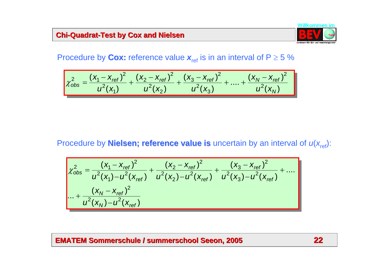#### **Chi-Quadrat-Test by Cox and Nielsen**

![](_page_21_Picture_1.jpeg)

# Procedure by **Cox:** reference value  $\boldsymbol{x}_{\sf ref}$  is in an interval of P  $\geq$  5 %

$$
\chi_{obs}^2 = \frac{(x_1 - x_{ref})^2}{u^2(x_1)} + \frac{(x_2 - x_{ref})^2}{u^2(x_2)} + \frac{(x_3 - x_{ref})^2}{u^2(x_3)} + \dots + \frac{(x_N - x_{ref})^2}{u^2(x_N)}
$$

# Procedure by **Nielsen; reference value is** uncertain by an interval of  $u(x_{ref})$ :

$$
\chi_{obs}^{2} = \frac{(x_{1} - x_{ref})^{2}}{u^{2}(x_{1}) - u^{2}(x_{ref})} + \frac{(x_{2} - x_{ref})^{2}}{u^{2}(x_{2}) - u^{2}(x_{ref})} + \frac{(x_{3} - x_{ref})^{2}}{u^{2}(x_{3}) - u^{2}(x_{ref})} + \dots
$$
  
... + 
$$
\frac{(x_{N} - x_{ref})^{2}}{u^{2}(x_{N}) - u^{2}(x_{ref})}
$$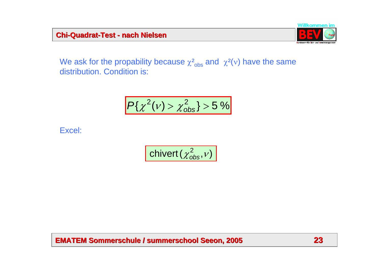#### **Chi-Quadrat Quadrat-Test - nach Nielsen nach Nielsen**

![](_page_22_Picture_1.jpeg)

We ask for the propability because  $\chi^2_\mathrm{obs}$  and  $\,\chi^2(\mathrm{v})$  have the same distribution. Condition is:

$$
P\{\chi^2(\nu) > \chi^2_{\rm obs}\} > 5\,\%
$$

Excel:

$$
\overline{\text{chivert}(\chi^2_{\text{obs}}, \nu)}
$$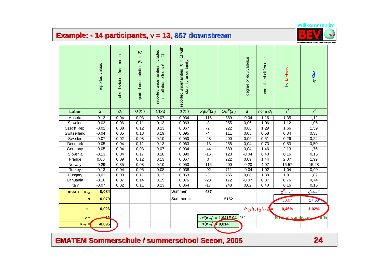# **Example: Example: - 14 participants, 14 participants,** <sup>ν</sup> **= 13, 857 downstream**

|                               | reported values    | abs deviation from mean | $\widehat{\mathcal{N}}$<br>$\rm H$<br>reported uncertainties (k | reported uncertainties included<br>$\widehat{\mathcal{N}}$<br>$\,$ H<br>installation effects (k | 1) with<br>$\rm H$<br>stability uncertainty<br>reported uncertainties (k |                         |                            | degree of equivalence       | normalized difference                          | by Nielsen                | by Cox                    |
|-------------------------------|--------------------|-------------------------|-----------------------------------------------------------------|-------------------------------------------------------------------------------------------------|--------------------------------------------------------------------------|-------------------------|----------------------------|-----------------------------|------------------------------------------------|---------------------------|---------------------------|
| Labor                         | $\boldsymbol{x}_i$ | $d_i$                   | $U(x_i)$                                                        | $U(x_i)$                                                                                        | $u(x_i)$                                                                 | $x_i/u^2(x_i)$          | $1/u^2(x_i)$               | $d_i$                       | norm d                                         | $\overline{\chi^2}$       | $\overline{\chi^2}$       |
| Austria                       | $-0, 13$           | 0,04                    | 0,03                                                            | 0,07                                                                                            | 0,034                                                                    | $-116$                  | 889                        | $-0,04$                     | 1,16                                           | 1,35                      | 1,12                      |
| Slovakia                      | $-0,03$            | 0,06                    | 0,11                                                            | 0,13                                                                                            | 0,063                                                                    | -8                      | 255                        | 0,06                        | 1,06                                           | 1,12                      | 1,06                      |
| Czech Rep.                    | $-0,01$            | 0,08                    | 0,12                                                            | 0,13                                                                                            | 0,067                                                                    | $-2$                    | 222                        | 0,08                        | 1,29                                           | 1,66                      | 1,59                      |
| Switzerland                   | $-0,04$            | 0,05                    | 0,18                                                            | 0, 19                                                                                           | 0,095                                                                    | $-4$                    | 111                        | 0,05                        | 0,58                                           | 0,34                      | 0,33                      |
| Sweden                        | $-0,07$            | 0,02                    | 0,08                                                            | 0, 10                                                                                           | 0,050                                                                    | $-28$                   | 400                        | 0,02                        | 0,51                                           | 0,26                      | 0,24                      |
| Denmark                       | $-0,05$            | 0,04                    | 0,11                                                            | 0,13                                                                                            | 0,063                                                                    | $-13$                   | 255                        | 0,04                        | 0,73                                           | 0,53                      | 0,50                      |
| Germany                       | $-0,05$            | 0,04                    | 0,03                                                            | 0,07                                                                                            | 0,034                                                                    | $-44$                   | 889                        | 0,04                        | 1,46                                           | 2,13                      | 1,76                      |
| Slovenia                      | $-0,13$            | 0,04                    | 0,17                                                            | 0,18                                                                                            | 0,090                                                                    | $-16$                   | 123                        | $-0,04$                     | 0,40                                           | 0,16                      | 0, 15                     |
| France                        | 0,00               | 0,09                    | 0,12                                                            | 0, 13                                                                                           | 0,067                                                                    | $\overline{0}$          | $\overline{222}$           | 0,09                        | 1,44                                           | 2,07                      | 1,99                      |
| Norway                        | $-0,29$            | 0,35                    | 0,08                                                            | 0, 10                                                                                           | 0,050                                                                    | $-116$                  | 400                        | $-0,20$                     | 4,07                                           | 16,57                     | 15,28                     |
| <b>Turkey</b>                 | $-0,13$            | 0,04                    | 0,05                                                            | 0,08                                                                                            | 0,038                                                                    | $-92$                   | 711                        | $-0,04$                     | 1,02                                           | 1,04                      | 0,90                      |
| Hungary                       | $-0,01$            | 0,08                    | 0,11                                                            | 0,13                                                                                            | 0,063                                                                    | $-3$                    | 255                        | 0,08                        | 1,38                                           | 1,91                      | 1,82                      |
| Lithuania                     | $-0,16$            | 0,07                    | 0, 14                                                           | 0, 15                                                                                           | 0,076                                                                    | $-28$                   | 172                        | $-0,07$                     | 0,87                                           | 0,76                      | 0,74                      |
| Italy                         | $-0,07$            | 0,02                    | 0,11                                                            | 0,13                                                                                            | 0,064                                                                    | $-17$                   | 248                        | 0,02                        | 0,40                                           | 0,16                      | 0,15                      |
| mean = $x_{ref}$              | $-0,084$           |                         |                                                                 |                                                                                                 | Summen =                                                                 | $-487$                  |                            |                             |                                                | $\chi^2$ <sub>obs</sub> = | $\chi^2$ <sub>obs</sub> = |
| $\mathbf{s}$                  | 0,079              |                         |                                                                 |                                                                                                 | Summen =                                                                 |                         | 5152                       |                             |                                                | 30,07                     | 27,63                     |
| $S_0$                         | 0,026              |                         |                                                                 |                                                                                                 |                                                                          |                         |                            |                             | $P\{\chi^2(v) \text{--} \chi^2_{\text{obs}}\}$ | 0,46%                     | 1,02%                     |
| $\nu =$                       |                    |                         |                                                                 |                                                                                                 |                                                                          |                         | $u^2(x_{ref}) = 1,941F-04$ | level of significance<br>%2 |                                                |                           |                           |
| $\boldsymbol{x}_{\text{ref}}$ | $-0,095$           |                         |                                                                 |                                                                                                 |                                                                          | $u(x_{ref}) \neq 0,014$ |                            |                             |                                                |                           |                           |

**EMATEM Sommerschule / EMATEM Sommerschule / summerschool summerschool Seeon, 2005 , 2005 24**

![](_page_23_Picture_4.jpeg)

Bundesomt für Ekh-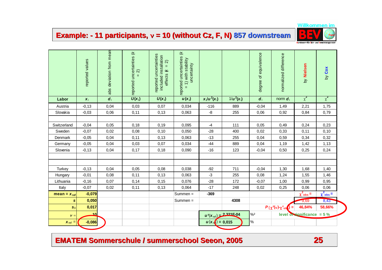# **Example: Example: - 11 participants, participants,** <sup>ν</sup> **= 10 (without Cz, F, N) without Cz, F, N) 857 downstream**

![](_page_24_Picture_1.jpeg)

Bundesomt für Ekh-

|                  | reported values    | abs deviation from mean | $\widetilde{\star}$<br>reported uncertainties<br>$\widehat{\mathcal{N}}$ | reported uncertainties<br>included installation<br>$\widehat{\mathcal{N}}$<br>$\rm H$<br>effects (k | $\widetilde{\star}$<br>reported uncertainties<br>$= 1$ ) with stability<br>uncertainty |                             |                            | degree of equivalence                          | normalized difference                       | by Nielsen                | by Cox                    |
|------------------|--------------------|-------------------------|--------------------------------------------------------------------------|-----------------------------------------------------------------------------------------------------|----------------------------------------------------------------------------------------|-----------------------------|----------------------------|------------------------------------------------|---------------------------------------------|---------------------------|---------------------------|
| Labor            | $\boldsymbol{x}_i$ | $d_i$                   | $U(x_i)$                                                                 | $U(x_i)$                                                                                            | $u(x_i)$                                                                               | $x_i/u^2(x_i)$              | $1/u^2(x_i)$               | $d_i$                                          | norm $\boldsymbol{d}_i$                     | $\overline{\chi^2}$       | $\overline{\chi^2}$       |
| Austria          | $-0, 13$           | 0,04                    | 0,03                                                                     | 0,07                                                                                                | 0,034                                                                                  | $-116$                      | 889                        | $-0,04$                                        | 1,49                                        | 2,21                      | 1,75                      |
| Slovakia         | $-0,03$            | 0,06                    | 0,11                                                                     | 0,13                                                                                                | 0,063                                                                                  | -8                          | 255                        | 0,06                                           | 0,92                                        | 0,84                      | 0,79                      |
|                  |                    |                         |                                                                          |                                                                                                     |                                                                                        |                             |                            |                                                |                                             |                           |                           |
| Switzerland      | $-0,04$            | 0,05                    | 0,18                                                                     | 0, 19                                                                                               | 0,095                                                                                  | $-4$                        | 111                        | 0,05                                           | 0,49                                        | 0,24                      | 0,23                      |
| Sweden           | $-0,07$            | 0,02                    | 0,08                                                                     | 0, 10                                                                                               | 0,050                                                                                  | $-28$                       | 400                        | 0,02                                           | 0,33                                        | 0,11                      | 0, 10                     |
| Denmark          | $-0,05$            | 0,04                    | 0,11                                                                     | 0, 13                                                                                               | 0,063                                                                                  | $-13$                       | 255                        | 0,04                                           | 0,59                                        | 0,34                      | 0,32                      |
| Germany          | $-0,05$            | 0,04                    | 0,03                                                                     | 0,07                                                                                                | 0,034                                                                                  | $-44$                       | 889                        | 0,04                                           | 1,19                                        | 1,42                      | 1,13                      |
| Slovenia         | $-0, 13$           | 0,04                    | 0,17                                                                     | 0,18                                                                                                | 0,090                                                                                  | $-16$                       | 123                        | $-0,04$                                        | 0,50                                        | 0,25                      | 0,24                      |
|                  |                    |                         |                                                                          |                                                                                                     |                                                                                        |                             |                            |                                                |                                             |                           |                           |
|                  |                    |                         |                                                                          |                                                                                                     |                                                                                        |                             |                            |                                                |                                             |                           |                           |
| Turkey           | $-0, 13$           | 0,04                    | 0,05                                                                     | 0,08                                                                                                | 0,038                                                                                  | $-92$                       | 711                        | $-0,04$                                        | 1,30                                        | 1,68                      | 1,40                      |
| Hungary          | $-0,01$            | 0,08                    | 0,11                                                                     | 0,13                                                                                                | 0,063                                                                                  | $-3$                        | 255                        | 0,08                                           | 1,24                                        | 1,55                      | 1,46                      |
| Lithuania        | $-0, 16$           | 0,07                    | 0,14                                                                     | 0, 15                                                                                               | 0,076                                                                                  | $-28$                       | 172                        | $-0,07$                                        | 1,00                                        | 0,99                      | 0,95                      |
| Italy            | $-0,07$            | 0,02                    | 0,11                                                                     | 0,13                                                                                                | 0,064                                                                                  | $-17$                       | 248                        | 0,02                                           | 0,25                                        | 0,06                      | 0,06                      |
| $mean = x_{ref}$ | $-0,079$           |                         |                                                                          |                                                                                                     | Summen =                                                                               | $-369$                      |                            |                                                |                                             | $\chi^2$ <sub>obs</sub> = | $\chi^2$ <sub>obs</sub> = |
| S                | 0,050              |                         |                                                                          |                                                                                                     | Summen =                                                                               |                             | 4308                       |                                                |                                             | 9,69                      | 8,43                      |
| s <sub>0</sub>   | 0,017              |                         |                                                                          |                                                                                                     |                                                                                        |                             |                            |                                                | $P\{\chi^2(v) \sim \chi^2_{\text{obj}}\}$ = | 46,84%                    | 58,66%                    |
| $\nu =$          | 10                 |                         |                                                                          |                                                                                                     |                                                                                        |                             | $u^2(x_{ref}) = 2.321F-04$ | $\frac{9}{2}$<br>level of significance = $5\%$ |                                             |                           |                           |
| $x_{ref}$ =      | $-0,086$           |                         |                                                                          |                                                                                                     |                                                                                        | $u(x_{\text{ref}}) = 0,015$ |                            | $\%$                                           |                                             |                           |                           |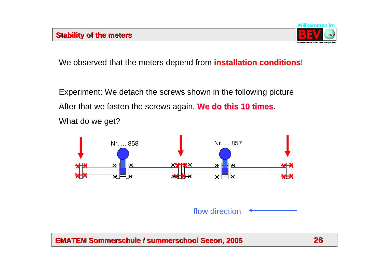![](_page_25_Picture_1.jpeg)

We observed that the meters depend from **installation conditions**!

Experiment: We detach the screws shown in the following picture After that we fasten the screws again. We do this 10 times. What do we get?

![](_page_25_Figure_4.jpeg)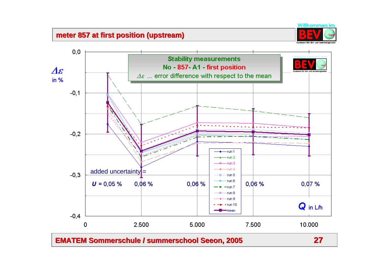#### **meter 857 at first position (upstream) meter 857 at first position (upstream)**

![](_page_26_Picture_1.jpeg)

![](_page_26_Figure_2.jpeg)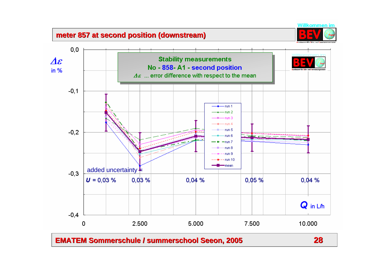# **meter 857 at second position (downstream) meter 857 at second position (downstream)**

![](_page_27_Figure_1.jpeg)

**EMATEM Sommerschule / EMATEM Sommerschule / summerschool summerschool Seeon, 2005 , 2005 28**

Willkommen im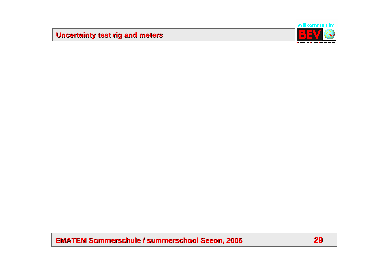# **Uncertainty test rig and meters Uncertainty test rig and meters**

![](_page_28_Picture_1.jpeg)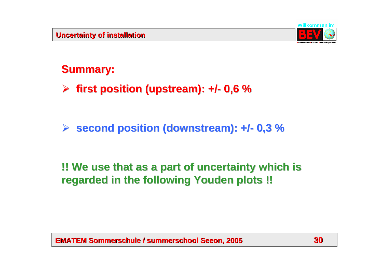![](_page_29_Picture_1.jpeg)

# **Summary: Summary:**

¾ **first position (upstream): +/ first position (upstream): +/- 0,6 %**

#### ¾**second position (downstream): +/- 0,3 %**

# **!! We use that as a part of uncertainty which is !! We use that as a part of uncertainty which is regarded in the following Youden plots !! regarded in the following Youden plots !!**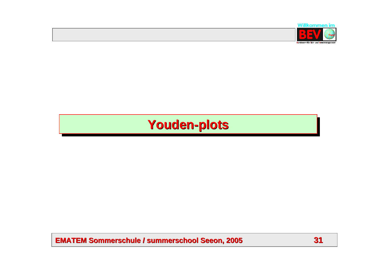![](_page_30_Picture_0.jpeg)

# **Youden Youden-plots -plots**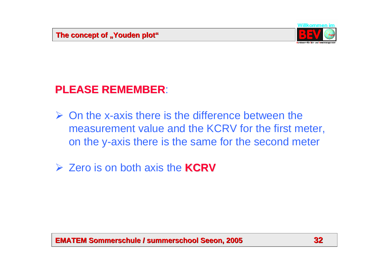![](_page_31_Picture_1.jpeg)

# **PLEASE REMEMBER PLEASE REMEMBER**:

- $\triangleright$  On the x-axis there is the difference between the measurement value and the KCRV for the first meter, on the y-axis there is the same for the second meter
- ¾ Zero is on both axis the **KCRV**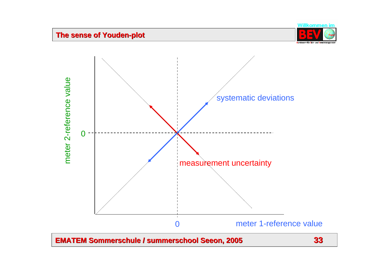#### **The sense of Youden The sense of Youden-plot**

![](_page_32_Picture_1.jpeg)

![](_page_32_Figure_2.jpeg)

![](_page_32_Figure_4.jpeg)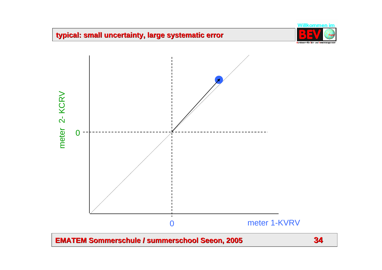# **typical: small uncertainty, large systematic error typical: small uncertainty, large systematic error**

![](_page_33_Picture_1.jpeg)

![](_page_33_Figure_2.jpeg)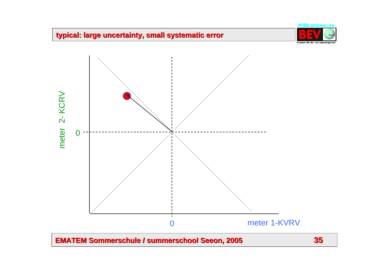# **typical: large uncertainty, small systematic error typical: large uncertainty, small systematic error**

![](_page_34_Picture_1.jpeg)

![](_page_34_Figure_2.jpeg)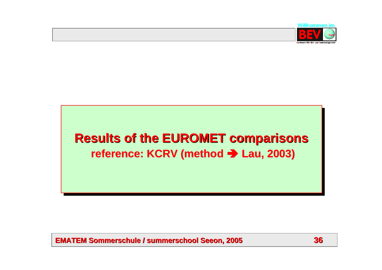![](_page_35_Picture_0.jpeg)

# **Results of the EUROMET comparisons reference: KCRV (method → Lau, 2003)**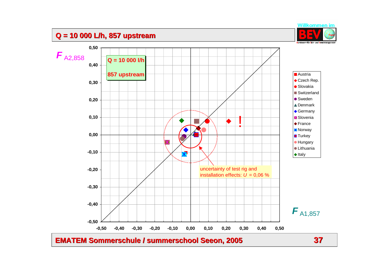# **Q = 10 000 L/h, 857 upstream**

![](_page_36_Picture_1.jpeg)

![](_page_36_Figure_2.jpeg)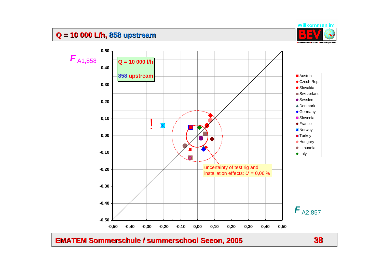# **Q = 10 000 L/h, Q = 10 000 L/h, 858 upstream**

![](_page_37_Picture_1.jpeg)

![](_page_37_Figure_2.jpeg)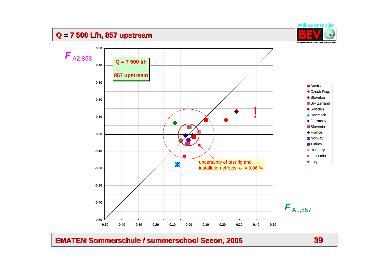# **Q = 7 500 L/h, 857 upstream**

![](_page_38_Picture_1.jpeg)

![](_page_38_Figure_2.jpeg)

**EMATEM Sommerschule / EMATEM Sommerschule / summerschool summerschool Seeon, 2005 , 2005 39**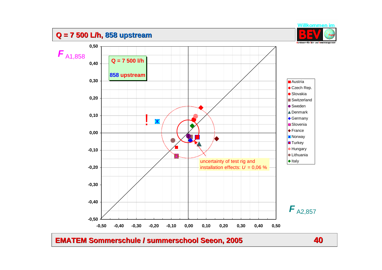# **Q = 7 500 L/h, Q = 7 500 L/h, 858 upstream**

![](_page_39_Picture_1.jpeg)

![](_page_39_Figure_2.jpeg)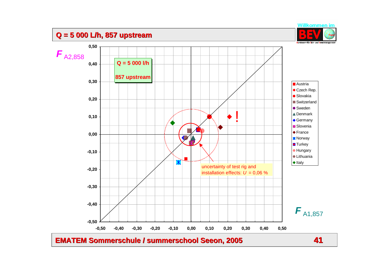# **Q = 5 000 L/h, 857 upstream**

![](_page_40_Picture_1.jpeg)

![](_page_40_Figure_2.jpeg)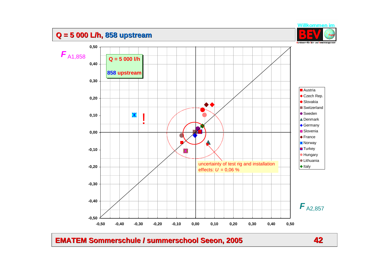# **Q = 5 000 L/h, Q = 5 000 L/h, 858 upstream**

![](_page_41_Picture_1.jpeg)

![](_page_41_Figure_2.jpeg)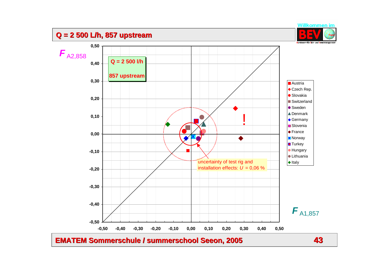# **Q = 2 500 L/h, 857 upstream**

![](_page_42_Picture_1.jpeg)

![](_page_42_Figure_2.jpeg)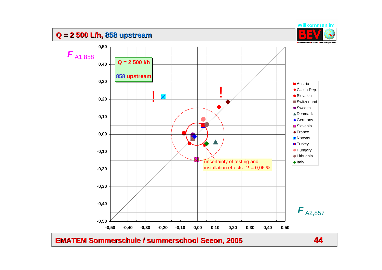## **Q = 2 500 L/h, Q = 2 500 L/h, 858 upstream**

![](_page_43_Picture_1.jpeg)

![](_page_43_Figure_2.jpeg)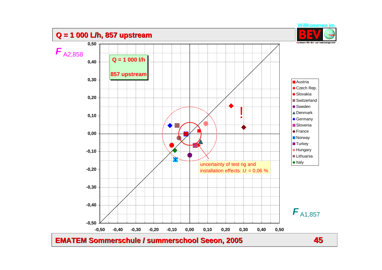![](_page_44_Figure_0.jpeg)

**EMATEM Sommerschule / EMATEM Sommerschule / summerschool summerschool Seeon, 2005 , 2005 45**

Willkommen im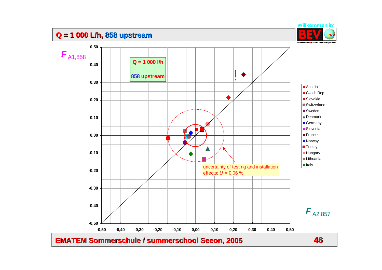# **Q = 1 000 L/h, Q = 1 000 L/h, 858 upstream**

![](_page_45_Picture_1.jpeg)

![](_page_45_Figure_2.jpeg)

**EMATEM Sommerschule / EMATEM Sommerschule / summerschool summerschool Seeon, 2005 , 2005 46**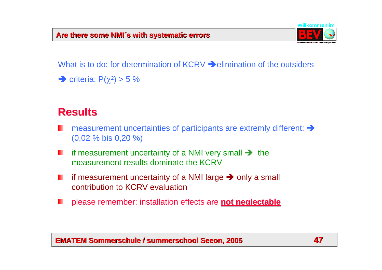![](_page_46_Picture_1.jpeg)

What is to do: for determination of  $KCRV \rightarrow$  elimination of the outsiders

 $\rightarrow$  criteria: P( $\chi^2$ ) > 5 %

# **Results Results**

- measurement uncertainties of participants are extremly different:  $\rightarrow$ (0,02 % bis 0,20 %)
- if measurement uncertainty of a NMI very small  $\rightarrow$  the ш measurement results dominate the KCRV
- if measurement uncertainty of a NMI large  $\rightarrow$  only a small ш contribution to KCRV evaluation
- please remember: installation effects are **not neglectable not neglectable**ш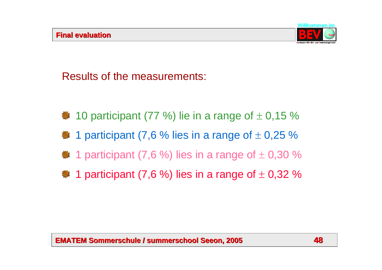![](_page_47_Picture_1.jpeg)

Results of the measurements:

- $\frac{4}{3}$  10 participant (77 %) lie in a range of  $\pm$  0,15 %
- $\#$  1 participant (7,6 % lies in a range of  $\pm$  0,25 %
- $\bullet$  1 participant (7,6 %) lies in a range of  $\pm$  0,30 %
- <sup>\*</sup> 1 participant (7,6 %) lies in a range of  $\pm$  0,32 %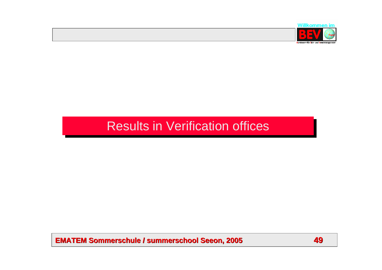![](_page_48_Picture_0.jpeg)

# Results in Verification offices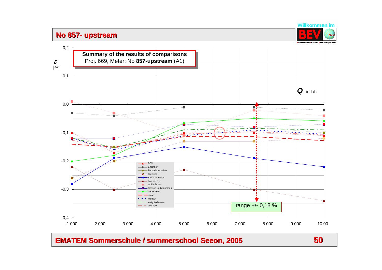## **No 857- upstream**

0,2

ε [%]

![](_page_49_Picture_1.jpeg)

**Summary of the results of comparisons** Proj. 669, Meter: No **857-upstream** (A1)

![](_page_49_Figure_3.jpeg)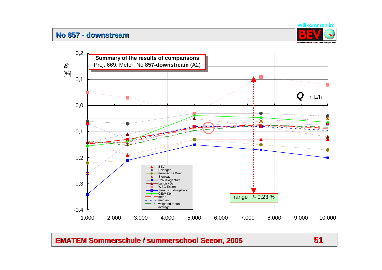#### **No 857 - downstream**

![](_page_50_Picture_1.jpeg)

![](_page_50_Figure_2.jpeg)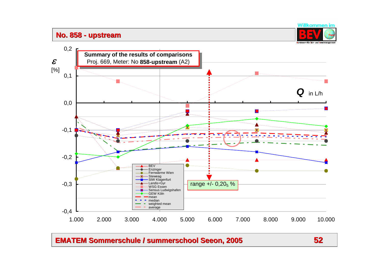#### **No. 858 - upstream**

![](_page_51_Picture_1.jpeg)

![](_page_51_Figure_2.jpeg)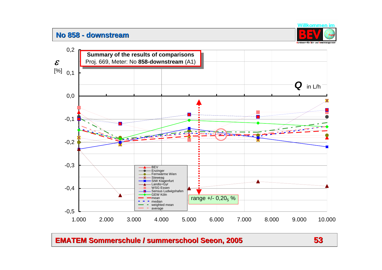#### **No 858 - downstream**

![](_page_52_Picture_1.jpeg)

![](_page_52_Figure_2.jpeg)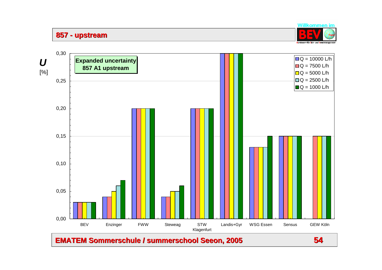**857 - upstream**

![](_page_53_Picture_1.jpeg)

![](_page_53_Figure_2.jpeg)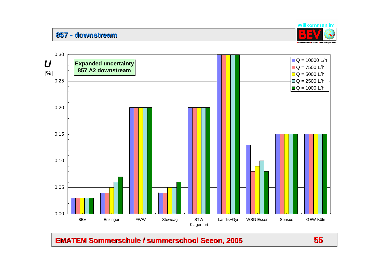**857 - downstream**

![](_page_54_Picture_1.jpeg)

![](_page_54_Figure_2.jpeg)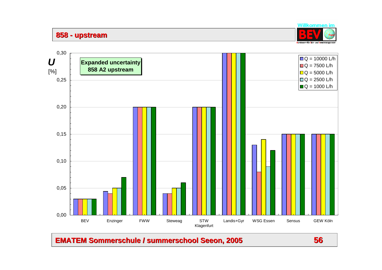**858 - upstream**

![](_page_55_Picture_1.jpeg)

![](_page_55_Figure_2.jpeg)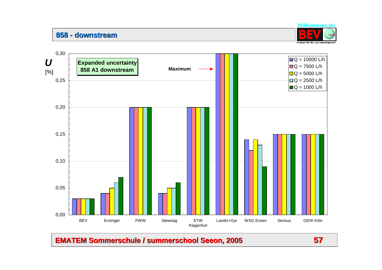#### **858 - downstream**

![](_page_56_Picture_1.jpeg)

![](_page_56_Figure_2.jpeg)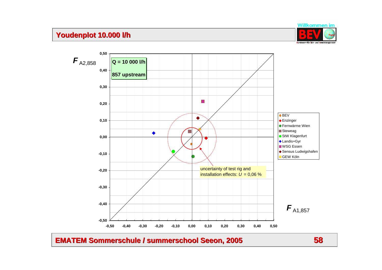# **Youdenplot Youdenplot 10.000 l/h 10.000 l/h**

![](_page_57_Picture_1.jpeg)

**0,50**  $\bm{F}_{\text{A2,858}}$ **Q = 10 000 l/h0,40 857 upstream 0,30** Ж **0,20**  $\times$  BEV ◆ Enzinger **0,10 • Fernwärme Wien Steweag**  $\bullet$ ● StW Klagenfurt **0,00** ◆ Landis+Gyr **WSG Essen** ◆ Sensus Ludwigshafen **-0,10** GEW Köln uncertainty of test rig and **-0,20** installation effects: *U* = 0,06 %**-0,30 -0,40**  $\bm{F}_{\text{A1,857}}$ **-0,50 -0,50 -0,40 -0,30 -0,20 -0,10 0,00 0,10 0,20 0,30 0,40 0,50**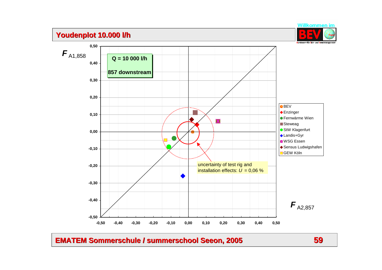# **Youdenplot Youdenplot 10.000 l/h 10.000 l/h**

![](_page_58_Picture_1.jpeg)

![](_page_58_Figure_2.jpeg)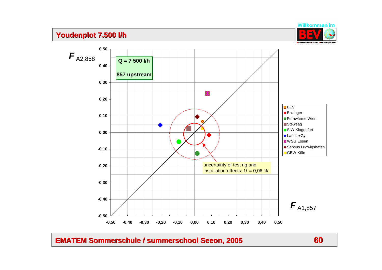# **Youdenplot Youdenplot 7.500 l/h 7.500 l/h**

![](_page_59_Picture_1.jpeg)

**0,50**  $\bm{F}_{\text{A2,858}}$ **Q = 7 500 l/h0,40 857 upstream 0,30** Ж **0,20 X**BEV ◆ Enzinger **0,10 Fernwärme Wien Steweag** ● StW Klagenfurt **0,00** ◆ Landis+Gyr WSG Essen ◆ Sensus Ludwigshafen **-0,10 ■GEW Köln** uncertainty of test rig and **-0,20** installation effects:  $U = 0.06 \%$ **-0,30 -0,40**  $\bm{F}_{\text{A1,857}}$ **-0,50 -0,50 -0,40 -0,30 -0,20 -0,10 0,00 0,10 0,20 0,30 0,40 0,50**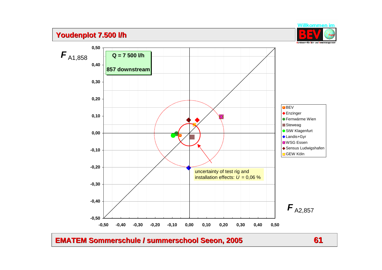# **Youdenplot Youdenplot 7.500 l/h 7.500 l/h**

![](_page_60_Picture_1.jpeg)

**Q = 7 500 l/h 857 downstream-0,50 -0,40 -0,30 -0,20 -0,10 0,00 0,10 0,20 0,30 0,40 0,50 -0,50 -0,40 -0,30 -0,20 -0,10 0,00 0,10 0,20 0,30 0,40 0,50**  $\bm{F}_{\text{A2,857}}$  $\bm{F}_{\text{A1,858}}$ BEV Enzinger **Fernwärme Wien Steweag** StW Klagenfurt **Landis+Gyr WSG** Essen ◆ Sensus Ludwigshafen **□ GEW Köln** uncertainty of test rig and installation effects:  $U = 0.06 \%$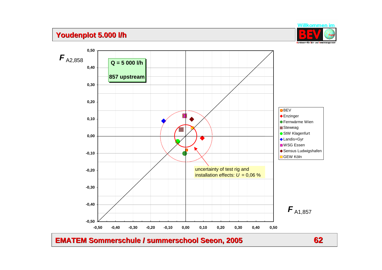# **Youdenplot Youdenplot 5.000 l/h 5.000 l/h**

![](_page_61_Picture_1.jpeg)

**Q = 5 000 l/h 857 upstream -0,50 -0,40 -0,30 -0,20 -0,10 0,00 0,10 0,20 0,30 0,40 0,50 -0,50 -0,40 -0,30 -0,20 -0,10 0,00 0,10 0,20 0,30 0,40 0,50**  $\bm{F}_{\text{A1,857}}$  $\bm{F}_{\text{A2,858}}$ **X**BEV ◆ Enzinger Fernwärme Wien**Steweag** ● StW Klagenfurt ◆ Landis+Gyr **WSG** Essen ◆ Sensus Ludwigshafen GEW Köln uncertainty of test rig and installation effects:  $\overline{U}$  = 0.06 %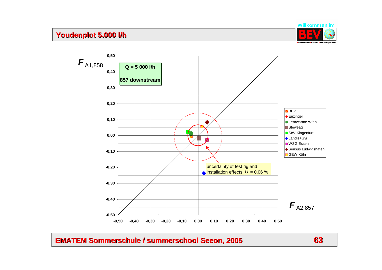# **Youdenplot Youdenplot 5.000 l/h 5.000 l/h**

![](_page_62_Picture_1.jpeg)

![](_page_62_Figure_3.jpeg)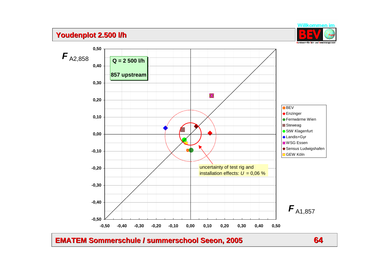# **Youdenplot Youdenplot 2.500 l/h 2.500 l/h**

![](_page_63_Picture_1.jpeg)

**0,50**  $\bm{F}_{\text{A2,858}}$ **Q = 2 500 l/h 0,40 857 upstream 0,30** Ж **0,20 X**BEV ◆ Enzinger **0,10 • Fernwärme Wien** Steweag ● StW Klagenfurt **0,00** ◆ Landis+Gyr **WSG Essen** ◆ Sensus Ludwigshafen **-0,10 □**GEW Köln uncertainty of test rig and **-0,20** installation effects:  $U = 0.06 \%$ **-0,30 -0,40**  $\bm{F}_{\text{A1,857}}$ **-0,50 -0,50 -0,40 -0,30 -0,20 -0,10 0,00 0,10 0,20 0,30 0,40 0,50**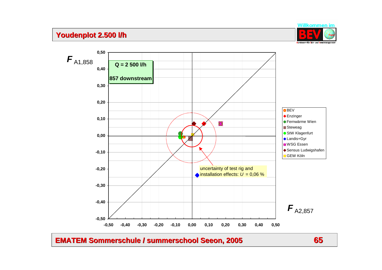# **Youdenplot Youdenplot 2.500 l/h 2.500 l/h**

**0,50**

![](_page_64_Picture_1.jpeg)

 $\bm{F}_{\text{A1,858}}$ **Q = 2 500 l/h0,40 857 downstream0,30 0,20 X**BEV ◆ Enzinger **0,10 • Fernwärme Wien** Ж **Steweag** ● StW Klagenfurt **0,00** ◆ Landis+Gyr **WSG Essen** ◆ Sensus Ludwigshafen **-0,10 □ GEW Köln** uncertainty of test rig and **-0,20**  $\triangle$  installation effects:  $U = 0.06\%$ **-0,30 -0,40**  $\bm{F}_{\text{A2,857}}$ **-0,50 -0,50 -0,40 -0,30 -0,20 -0,10 0,00 0,10 0,20 0,30 0,40 0,50**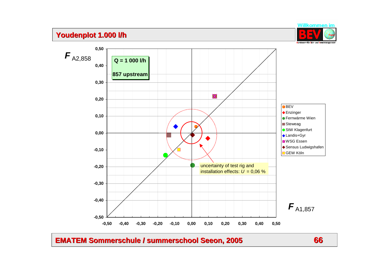# **Youdenplot Youdenplot 1.000 l/h 1.000 l/h**

![](_page_65_Picture_1.jpeg)

![](_page_65_Figure_3.jpeg)